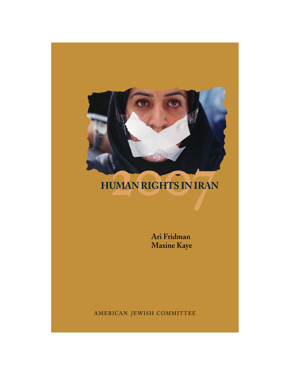

# *HUMAN RIGHTS IN IRAN*

**Ari Fridman Maxine Kaye**

AMERICAN JEWISH COMMITTEE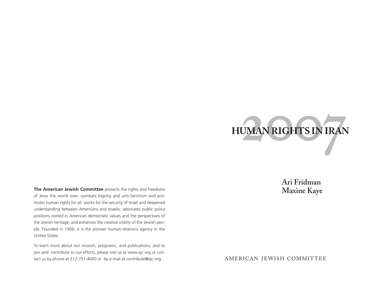

**The American Jewish Committee** protects the rights and freedoms of Jews the world over; combats bigotry and anti-Semitism and promotes human rights for all; works for the security of Israel and deepened understanding between Americans and Israelis; advocates public policy positions rooted in American democratic values and the perspectives of the Jewish heritage; and enhances the creative vitality of the Jewish people. Founded in 1906, it is the pioneer human-relations agency in the United States.

To learn more about our mission, programs, and publications, and to join and contribute to our efforts, please visit us at www.ajc.org or contact us by phone at 212-751-4000 or by e-mail at contribute@ajc.org.

**Ari Fridman Maxine Kaye**

AMERICAN JEWISH COMMITTEE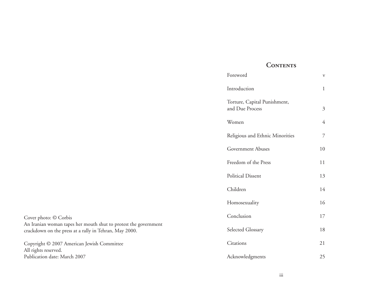## **Contents**

|                                                                                                                                                    | Foreword                                        | $\mathbf{V}$   |
|----------------------------------------------------------------------------------------------------------------------------------------------------|-------------------------------------------------|----------------|
|                                                                                                                                                    | Introduction                                    | $\mathbf{1}$   |
|                                                                                                                                                    | Torture, Capital Punishment,<br>and Due Process | $\mathfrak{Z}$ |
|                                                                                                                                                    | Women                                           | $\overline{4}$ |
|                                                                                                                                                    | Religious and Ethnic Minorities                 | $\overline{7}$ |
|                                                                                                                                                    | Government Abuses                               | 10             |
|                                                                                                                                                    | Freedom of the Press                            | 11             |
|                                                                                                                                                    | Political Dissent                               | 13             |
|                                                                                                                                                    | Children                                        | 14             |
|                                                                                                                                                    | Homosexuality                                   | 16             |
| Cover photo: © Corbis<br>An Iranian woman tapes her mouth shut to protest the government<br>crackdown on the press at a rally in Tehran, May 2000. | Conclusion                                      | 17             |
|                                                                                                                                                    | Selected Glossary                               | 18             |
| Copyright © 2007 American Jewish Committee                                                                                                         | Citations                                       | 21             |
| All rights reserved.<br>Publication date: March 2007                                                                                               | Acknowledgments                                 | 25             |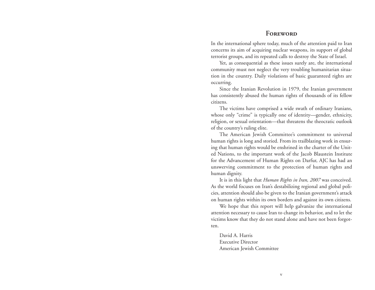## **FOREWORD**

In the international sphere today, much of the attention paid to Iran concerns its aim of acquiring nuclear weapons, its support of global terrorist groups, and its repeated calls to destroy the State of Israel.

Yet, as consequential as these issues surely are, the international community must not neglect the very troubling humanitarian situation in the country. Daily violations of basic guaranteed rights are occurring.

Since the Iranian Revolution in 1979, the Iranian government has consistently abused the human rights of thousands of its fellow citizens.

The victims have comprised a wide swath of ordinary Iranians, whose only "crime" is typically one of identity—gender, ethnicity, religion, or sexual orientation—that threatens the theocratic outlook of the country's ruling elite.

The American Jewish Committee's commitment to universal human rights is long and storied. From its trailblazing work in ensuring that human rights would be enshrined in the charter of the United Nations, to the important work of the Jacob Blaustein Institute for the Advancement of Human Rights on Darfur, AJC has had an unswerving commitment to the protection of human rights and human dignity.

It is in this light that *Human Rights in Iran, 2007* was conceived. As the world focuses on Iran's destabilizing regional and global policies, attention should also be given to the Iranian government's attack on human rights within its own borders and against its own citizens.

We hope that this report will help galvanize the international attention necessary to cause Iran to change its behavior, and to let the victims know that they do not stand alone and have not been forgotten.

David A. Harris Executive Director American Jewish Committee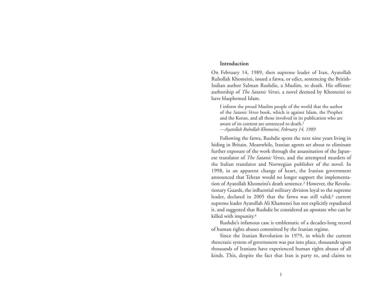## **Introduction**

On February 14, 1989, then supreme leader of Iran, Ayatollah Ruhollah Khomeini, issued a fatwa, or edict, sentencing the British-Indian author Salman Rushdie, a Muslim, to death. His offense: authorship of *The Satanic Verses*, a novel deemed by Khomeini to have blasphemed Islam.

I inform the proud Muslim people of the world that the author of the *Satanic Verses* book, which is against Islam, the Prophet and the Koran, and all those involved in its publication who are aware of its content are sentenced to death.<sup>1</sup> —*Ayatollah Ruhollah Khomeini, February 14, 1989*

Following the fatwa, Rushdie spent the next nine years living in hiding in Britain. Meanwhile, Iranian agents set about to eliminate further exposure of the work through the assassination of the Japanese translator of *The Satanic Verses*, and the attempted murders of the Italian translator and Norwegian publisher of the novel. In 1998, in an apparent change of heart, the Iranian government announced that Tehran would no longer support the implementation of Ayatollah Khomeini's death sentence.2 However, the Revolutionary Guards, the influential military division loyal to the supreme leader, declared in 2005 that the fatwa was still valid;<sup>3</sup> current supreme leader Ayatollah Ali Khamenei has not explicitly repudiated it, and suggested that Rushdie be considered an apostate who can be killed with impunity.4

Rushdie's infamous case is emblematic of a decades-long record of human rights abuses committed by the Iranian regime.

Since the Iranian Revolution in 1979, in which the current theocratic system of government was put into place, thousands upon thousands of Iranians have experienced human rights abuses of all kinds. This, despite the fact that Iran is party to, and claims to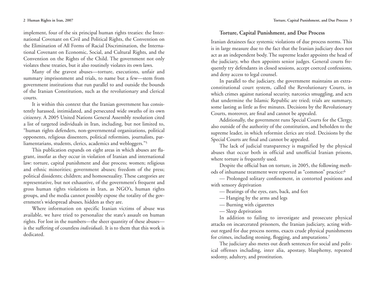implement, four of the six principal human rights treaties: the International Covenant on Civil and Political Rights, the Convention on the Elimination of All Forms of Racial Discrimination, the International Covenant on Economic, Social, and Cultural Rights, and the Convention on the Rights of the Child. The government not only violates these treaties, but it also routinely violates its own laws.

Many of the gravest abuses—torture, executions, unfair and summary imprisonment and trials, to name but a few—stem from government institutions that run parallel to and outside the bounds of the Iranian Constitution, such as the revolutionary and clerical courts.

It is within this context that the Iranian government has consistently harassed, intimidated, and persecuted wide swaths of its own citizenry. A 2005 United Nations General Assembly resolution cited a list of targeted individuals in Iran, including, but not limited to, "human rights defenders, non-governmental organizations, political opponents, religious dissenters, political reformists, journalists, parliamentarians, students, clerics, academics and webloggers."5

This publication expands on eight areas in which abuses are flagrant, insofar as they occur in violation of Iranian and international law: torture, capital punishment and due process; women; religious and ethnic minorities; government abuses; freedom of the press; political dissidents; children; and homosexuality. These categories are representative, but not exhaustive, of the government's frequent and gross human rights violations in Iran, as NGO's, human rights groups, and the media cannot possibly expose the totality of the government's widespread abuses, hidden as they are.

Where information on specific Iranian victims of abuse was available, we have tried to personalize the state's assault on human rights. For lost in the numbers—the sheer quantity of these abuses is the suffering of countless *individuals*. It is to them that this work is dedicated.

## **Torture, Capital Punishment, and Due Process**

Iranian detainees face systemic violations of due process norms. This is in large measure due to the fact that the Iranian judiciary does not act as an independent body. The supreme leader appoints the head of the judiciary, who then appoints senior judges. General courts frequently try defendants in closed sessions, accept coerced confessions, and deny access to legal counsel.

In parallel to the judiciary, the government maintains an extraconstitutional court system, called the Revolutionary Courts, in which crimes against national security, narcotics smuggling, and acts that undermine the Islamic Republic are tried; trials are summary, some lasting as little as five minutes. Decisions by the Revolutionary Courts, moreover, are final and cannot be appealed.

Additionally, the government runs Special Courts for the Clergy, also outside of the authority of the constitution, and beholden to the supreme leader, in which reformist clerics are tried. Decisions by the Special Courts are final and cannot be appealed.

The lack of judicial transparency is magnified by the physical abuses that occur both in official and unofficial Iranian prisons, where torture is frequently used.

Despite the official ban on torture, in 2005, the following methods of inhumane treatment were reported as "common" practice:6

— Prolonged solitary confinement, in contorted positions and with sensory deprivation

— Beatings of the eyes, ears, back, and feet

— Hanging by the arms and legs

— Burning with cigarettes

— Sleep deprivation

In addition to failing to investigate and prosecute physical attacks on incarcerated prisoners, the Iranian judiciary, acting without regard for due process norms, exacts crude physical punishments for crimes, including stoning, flogging, and amputations.7

The judiciary also metes out death sentences for social and political offenses including, inter alia, apostasy, blasphemy, repeated sodomy, adultery, and prostitution.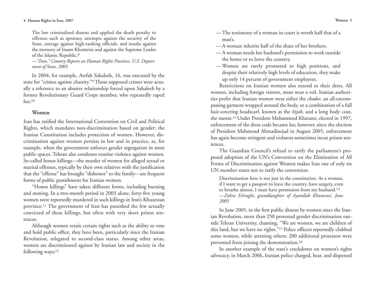The law criminalized dissent and applied the death penalty to offenses such as apostasy, attempts against the security of the State, outrage against high-ranking officials, and insults against the memory of Imam Khomeini and against the Supreme Leader of the Islamic Republic.8

—*"Iran," Country Reports on Human Rights Practices, U.S. Department of State, 2005*

In 2004, for example, Atefah Sahaleeh, 16, was executed by the state for "crimes against chastity."9 Those supposed crimes were actually a reference to an abusive relationship forced upon Sahaleeh by a former Revolutionary Guard Corps member, who repeatedly raped  $her<sup>10</sup>$ 

#### **Women**

Iran has ratified the International Convention on Civil and Political Rights, which mandates non-discrimination based on gender; the Iranian Constitution includes protection of women. However, discrimination against women persists in law and in practice, as, for example, when the government enforces gender segregation in most public spaces. Tehran also condones routine violence against women. So-called honor killings—the murder of women for alleged sexual or marital offenses, typically by their own relatives with the justification that the "offense" has brought "dishonor" to the family—are frequent forms of public punishment for Iranian women.

"Honor killings" have taken different forms, including burning and stoning. In a two-month period in 2003 alone, forty-five young women were reportedly murdered in such killings in Iran's Khuzestan province.11 The government of Iran has punished the few actually convicted of these killings, but often with very short prison sentences.

Although women retain certain rights such as the ability to vote and hold public office, they have been, particularly since the Iranian Revolution, relegated to second-class status. Among other areas, women are discriminated against by Iranian law and society in the following ways:12

- —A woman inherits half of the share of her brothers.
- —A woman needs her husband's permission to work outside the home or to leave the country.
- —Women are rarely promoted to high positions, and despite their relatively high levels of education, they make up only 14 percent of government employees.

Restrictions on Iranian women also extend to their dress. All women, including foreign visitors, must wear a veil. Iranian authorities prefer that Iranian women wear either the *chador*, an all-encompassing garment wrapped around the body, or a combination of a full hair-covering headscarf, known as the *hijab*, and a long body coat, the *manto*.13 Under President Mohammed Khatami, elected in 1997, enforcement of the dress code became lax; however, since the election of President Mahmoud Ahmadinejad in August 2005, enforcement has again become stringent and violators sometimes incur prison sentences.

The Guardian Council's refusal to ratify the parliament's proposed adoption of the UN's Convention on the Elimination of All Forms of Discrimination against Women makes Iran one of only six UN member states not to ratify the convention.

Discrimination here is not just in the constitution. As a woman, if I want to get a passport to leave the country, have surgery, even to breathe almost, I must have permission from my husband.14 —*Zahra Eshraghi, granddaughter of Ayatollah Khomenei, June 2005*

In June 2005, in the first public dissent by women since the Iranian Revolution, more than 250 protested gender discrimination outside Tehran University, chanting, "We are women, we are children of this land, but we have no rights."15 Police officers reportedly clubbed some women, while arresting others; 200 additional protesters were prevented from joining the demonstration.16

In another example of the state's crackdown on women's rights advocacy, in March 2006, Iranian police charged, beat, and dispersed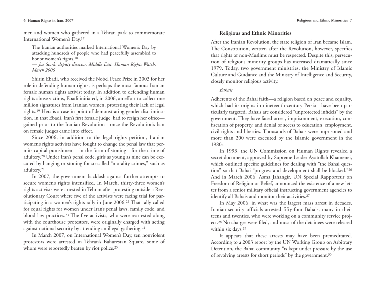men and women who gathered in a Tehran park to commemorate International Women's Day.17

The Iranian authorities marked International Women's Day by attacking hundreds of people who had peacefully assembled to honor women's rights.<sup>18</sup>

— *Joe Stork, deputy director, Middle East, Human Rights Watch, March 2006*

Shirin Ebadi, who received the Nobel Peace Prize in 2003 for her role in defending human rights, is perhaps the most famous Iranian female human rights activist today. In addition to defending human rights abuse victims, Ebadi initiated, in 2006, an effort to collect one million signatures from Iranian women, protesting their lack of legal rights.19 Hers is a case in point of demonstrating gender discrimination, in that Ebadi, Iran's first female judge, had to resign her office gained prior to the Iranian Revolution—once the Revolution's ban on female judges came into effect.

Since 2006, in addition to the legal rights petition, Iranian women's rights activists have fought to change the penal law that permits capital punishment—in the form of stoning—for the crime of adultery.20 Under Iran's penal code, girls as young as nine can be executed by hanging or stoning for so-called "morality crimes," such as adultery.21

In 2007, the government backlash against further attempts to secure women's rights intensified. In March, thirty-three women's rights activists were arrested in Tehran after protesting outside a Revolutionary Court where five of the activists were facing trial for participating in a women's rights rally in June 2006.22 That rally called for equal rights for women under Iran's penal laws, family code, and blood law practices.23 The five activists, who were rearrested along with the courthouse protestors, were originally charged with acting against national security by attending an illegal gathering.<sup>24</sup>

In March 2007, on International Women's Day, ten nonviolent protestors were arrested in Tehran's Baharestan Square, some of whom were reportedly beaten by riot police.<sup>25</sup>

## **Religious and Ethnic Minorities**

After the Iranian Revolution, the state religion of Iran became Islam. The Constitution, written after the Revolution, however, specifies that rights of non-Muslims must be respected. Despite this, persecution of religious minority groups has increased dramatically since 1979. Today, two government ministries, the Ministry of Islamic Culture and Guidance and the Ministry of Intelligence and Security, closely monitor religious activity.

## *Bahais*

Adherents of the Bahai faith—a religion based on peace and equality, which had its origins in nineteenth-century Persia—have been particularly targeted. Bahais are considered "unprotected infidels" by the government. They have faced arrest, imprisonment, execution, confiscation of property, and denial of access to education, employment, civil rights and liberties. Thousands of Bahais were imprisoned and more than 200 were executed by the Islamic government in the 1980s.

In 1993, the UN Commission on Human Rights revealed a secret document, approved by Supreme Leader Ayatollah Khamenei, which outlined specific guidelines for dealing with "the Bahai question" so that Bahai "progress and development shall be blocked."26 And in March 2006, Asma Jahangir, UN Special Rapporteur on Freedom of Religion or Belief, announced the existence of a new letter from a senior military official instructing government agencies to identify all Bahais and monitor their activities.<sup>27</sup>

In May 2006, in what was the largest mass arrest in decades, Iranian security officials arrested fifty-four Bahais, many in their teens and twenties, who were working on a community service project.28 No charges were filed, and most of the detainees were released within six days.29

It appears that these arrests may have been premeditated. According to a 2003 report by the UN Working Group on Arbitrary Detention, the Bahai community "is kept under pressure by the use of revolving arrests for short periods" by the government.30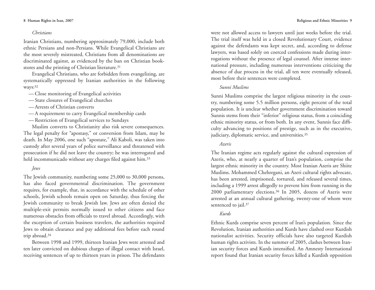## *Christians*

Iranian Christians, numbering approximately 79,000, include both ethnic Persians and non-Persians. While Evangelical Christians are the most severely mistreated, Christians from all denominations are discriminated against, as evidenced by the ban on Christian bookstores and the printing of Christian literature.<sup>31</sup>

Evangelical Christians, who are forbidden from evangelizing, are systematically oppressed by Iranian authorities in the following ways:32

- —Close monitoring of Evangelical activities
- —State closures of Evangelical churches

## —Arrests of Christian converts

- —A requirement to carry Evangelical membership cards
- —Restriction of Evangelical services to Sundays

Muslim converts to Christianity also risk severe consequences. The legal penalty for "apostasy," or conversion from Islam, may be death. In May 2006, one such "apostate," Ali Kaboli, was taken into custody after several years of police surveillance and threatened with prosecution if he did not leave the country; he was interrogated and held incommunicado without any charges filed against him.<sup>33</sup>

## *Jews*

The Jewish community, numbering some 25,000 to 30,000 persons, has also faced governmental discrimination. The government requires, for example, that, in accordance with the schedule of other schools, Jewish schools remain open on Saturday, thus forcing the Jewish community to break Jewish law. Jews are often denied the multiple-exit permits normally issued to other citizens and face numerous obstacles from officials to travel abroad. Accordingly, with the exception of certain business travelers, the authorities required Jews to obtain clearance and pay additional fees before each round trip abroad.34

Between 1998 and 1999, thirteen Iranian Jews were arrested and ten later convicted on dubious charges of illegal contact with Israel, receiving sentences of up to thirteen years in prison. The defendants were not allowed access to lawyers until just weeks before the trial. The trial itself was held in a closed Revolutionary Court, evidence against the defendants was kept secret, and, according to defense lawyers, was based solely on coerced confessions made during interrogations without the presence of legal counsel. After intense international pressure, including numerous interventions criticizing the absence of due process in the trial, all ten were eventually released, most before their sentences were completed.

## *Sunni Muslims*

Sunni Muslims comprise the largest religious minority in the country, numbering some 5.5 million persons, eight percent of the total population. It is unclear whether government discrimination toward Sunnis stems from their "inferior" religious status, from a coinciding ethnic minority status, or from both. In any event, Sunnis face difficulty advancing to positions of prestige, such as in the executive, judiciary, diplomatic service, and universities.<sup>35</sup>

## *Azeris*

The Iranian regime acts regularly against the cultural expression of Azeris, who, at nearly a quarter of Iran's population, comprise the largest ethnic minority in the country. Most Iranian Azeris are Shiite Muslims. Mohammed Chehregani, an Azeri cultural rights advocate, has been arrested, imprisoned, tortured, and released several times, including a 1999 arrest allegedly to prevent him from running in the 2000 parliamentary elections.36 In 2005, dozens of Azeris were arrested at an annual cultural gathering, twenty-one of whom were sentenced to jail.<sup>37</sup>

## *Kurds*

Ethnic Kurds comprise seven percent of Iran's population. Since the Revolution, Iranian authorities and Kurds have clashed over Kurdish nationalist activities. Security officials have also targeted Kurdish human rights activists. In the summer of 2005, clashes between Iranian security forces and Kurds intensified. An Amnesty International report found that Iranian security forces killed a Kurdish opposition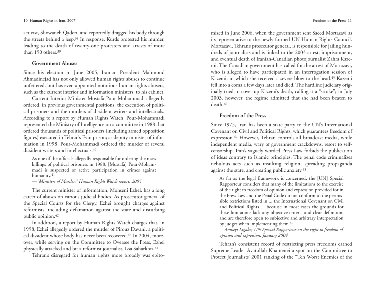activist, Showaneh Qaderi, and reportedly dragged his body through the streets behind a jeep.<sup>38</sup> In response, Kurds protested his murder, leading to the death of twenty-one protesters and arrests of more than 190 others.39

#### **Government Abuses**

Since his election in June 2005, Iranian President Mahmoud Ahmadinejad has not only allowed human rights abuses to continue unfettered, but has even appointed notorious human rights abusers, such as the current interior and information ministers, to his cabinet.

Current Interior Minister Mostafa Pour-Mohammadi allegedly ordered, in previous governmental positions, the execution of political prisoners and the murders of dissident writers and intellectuals. According to a report by Human Rights Watch, Pour-Mohammadi represented the Ministry of Intelligence on a committee in 1988 that ordered thousands of political prisoners (including armed opposition figures) executed in Tehran's Evin prison; as deputy minister of information in 1998, Pour-Mohammadi ordered the murder of several dissident writers and intellectuals.40

As one of the officials allegedly responsible for ordering the mass killings of political prisoners in 1988, [Mostafa] Pour-Mohammadi is suspected of active participation in crimes against humanity.<sup>41</sup>

—*"Ministers of Murder," Human Rights Watch report, 2005* 

The current minister of information, Mohseni Ezhei, has a long career of abuses on various judicial bodies. As prosecutor general of the Special Courts for the Clergy, Ezhei brought charges against reformists, including defamation against the state and disturbing public opinion.42

In addition, a report by Human Rights Watch charges that, in 1998, Ezhei allegedly ordered the murder of Pirouz Davani, a political dissident whose body has never been recovered.43 In 2004, moreover, while serving on the Committee to Oversee the Press, Ezhei physically attacked and bit a reformist journalist, Issa Saharkhiz.44

Tehran's disregard for human rights more broadly was epito-

mized in June 2006, when the government sent Saeed Mortazavi as its representative to the newly formed UN Human Rights Council. Mortazavi, Tehran's prosecutor general, is responsible for jailing hundreds of journalists and is linked to the 2003 arrest, imprisonment, and eventual death of Iranian-Canadian photojournalist Zahra Kazemi. The Canadian government has called for the arrest of Mortazavi, who is alleged to have participated in an interrogation session of Kazemi, in which she received a severe blow to the head.45 Kazemi fell into a coma a few days later and died. The hardline judiciary originally tried to cover up Kazemi's death, calling it a "stroke"; in July 2003, however, the regime admitted that she had been beaten to death.46

## **Freedom of the Press**

Since 1975, Iran has been a state party to the UN's International Covenant on Civil and Political Rights, which guarantees freedom of expression.47 However, Tehran controls all broadcast media, while independent media, wary of government crackdowns, resort to selfcensorship. Iran's vaguely worded Press Law forbids the publication of ideas contrary to Islamic principles. The penal code criminalizes nebulous acts such as insulting religion, spreading propaganda against the state, and creating public anxiety.<sup>48</sup>

As far as the legal framework is concerned, the [UN] Special Rapporteur considers that many of the limitations to the exercise of the right to freedom of opinion and expression provided for in the Press Law and the Penal Code do not conform to the permissible restrictions listed in ... the International Covenant on Civil and Political Rights ... because in most cases the grounds for these limitations lack any objective criteria and clear definition, and are therefore open to subjective and arbitrary interpretation by judges when implementing them.<sup>49</sup>

—*Ambeyi Ligabo, UN Special Rapporteur on the right to freedom of opinion and expression, January 2004*

Tehran's consistent record of restricting press freedoms earned Supreme Leader Ayatollah Khamenei a spot on the Committee to Protect Journalists' 2001 ranking of the "Ten Worst Enemies of the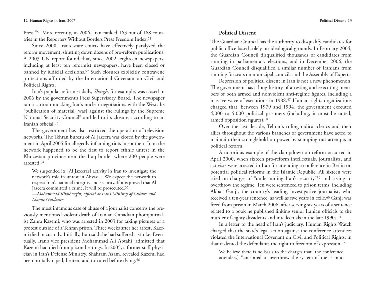Press."50 More recently, in 2006, Iran ranked 163 out of 168 countries in the Reporters Without Borders Press Freedom Index.51

Since 2000, Iran's state courts have effectively paralyzed the reform movement, shutting down dozens of pro-reform publications. A 2003 UN report found that, since 2002, eighteen newspapers, including at least ten reformist newspapers, have been closed or banned by judicial decisions.<sup>52</sup> Such closures explicitly contravene protections afforded by the International Covenant on Civil and Political Rights.

Iran's popular reformist daily, *Shargh*, for example, was closed in 2006 by the government's Press Supervisory Board. The newspaper ran a cartoon mocking Iran's nuclear negotiations with the West. Its "publication of material [was] against the rulings by the Supreme National Security Council" and led to its closure, according to an Iranian official.53

The government has also restricted the operation of television networks. The Tehran bureau of Al Jazeera was closed by the government in April 2005 for allegedly inflaming riots in southern Iran; the network happened to be the first to report ethnic unrest in the Khuzestan province near the Iraq border where 200 people were arrested.54

We suspended its [Al Jazeera's] activity in Iran to investigate the network's role in unrest in Ahvaz.... We expect the network to respect Iran's national integrity and security. If it is proved that Al Jazeera committed a crime, it will be prosecuted.55

—*Mohammad Khoshvaght, official at Iran's Ministry of Culture and Islamic Guidance* 

The most infamous case of abuse of a journalist concerns the previously mentioned violent death of Iranian-Canadian photojournalist Zahra Kazemi, who was arrested in 2003 for taking pictures of a protest outside of a Tehran prison. Three weeks after her arrest, Kazemi died in custody. Initially, Iran said she had suffered a stroke. Eventually, Iran's vice president Mohammad Ali Abtahi, admitted that Kazemi had died from prison beatings. In 2005, a former staff physician in Iran's Defense Ministry, Shahram Azam, revealed Kazemi had been brutally raped, beaten, and tortured before dying.<sup>56</sup>

## **Political Dissent**

The Guardian Council has the authority to disqualify candidates for public office based solely on ideological grounds. In February 2004, the Guardian Council disqualified thousands of candidates from running in parliamentary elections, and in December 2006, the Guardian Council disqualified a similar number of Iranians from running for seats on municipal councils and the Assembly of Experts.

Repression of political dissent in Iran is not a new phenomenon. The government has a long history of arresting and executing members of both armed and nonviolent anti-regime figures, including a massive wave of executions in 1988.57 Human rights organizations charged that, between 1979 and 1994, the government executed 4,000 to 5,000 political prisoners (including, it must be noted, armed opposition figures).58

Over the last decade, Tehran's ruling radical clerics and their allies throughout the various branches of government have acted to maintain their stranglehold on power by stamping out attempts at political reform.

A notorious example of the clampdown on reform occurred in April 2000, when sixteen pro-reform intellectuals, journalists, and activists were arrested in Iran for attending a conference in Berlin on potential political reforms in the Islamic Republic. All sixteen were tried on charges of "undermining Iran's security"59 and trying to overthrow the regime. Ten were sentenced to prison terms, including Akbar Ganji, the country's leading investigative journalist, who received a ten-year sentence, as well as five years in exile.<sup>60</sup> Ganji was freed from prison in March 2006, after serving six years of a sentence related to a book he published linking senior Iranian officials to the murder of eighty dissidents and intellectuals in the late 1990s.<sup>61</sup>

In a letter to the head of Iran's judiciary, Human Rights Watch charged that the state's legal action against the conference attendees violated the International Covenant on Civil and Political Rights, in that it denied the defendants the right to freedom of expression.62

We believe there is no basis to the charges that [the conference] attendees] "conspired to overthrow the system of the Islamic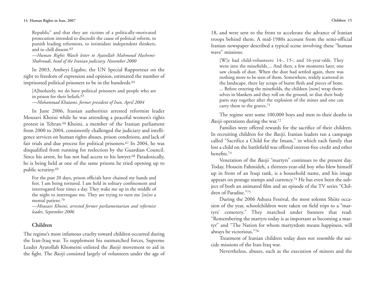Republic" and that they are victims of a politically-motivated prosecution intended to discredit the cause of political reform, to punish leading reformists, to intimidate independent thinkers, and to chill dissent.63

—*Human Rights Watch letter to Ayatollah Mahmoud Hashemi-Shahroudi, head of the Iranian judiciary, November 2000*

In 2003, Ambeyi Ligabo, the UN Special Rapporteur on the right to freedom of expression and opinion, estimated the number of imprisoned political prisoners to be in the hundreds.<sup>64</sup>

[A]bsolutely, we do have political prisoners and people who are in prison for their beliefs.65

*—Mohammad Khatami, former president of Iran, April 2004*

In June 2006, Iranian authorities arrested reformist leader Mousavi Khoini while he was attending a peaceful women's rights protest in Tehran.66 Khoini, a member of the Iranian parliament from 2000 to 2004, consistently challenged the judiciary and intelligence services on human rights abuses, prison conditions, and lack of fair trials and due process for political prisoners.<sup>67</sup> In 2004, he was disqualified from running for reelection by the Guardian Council. Since his arrest, he has not had access to his lawyer.<sup>68</sup> Paradoxically, he is being held at one of the same prisons he tried opening up to public scrutiny.69

For the past 20 days, prison officials have chained my hands and feet. I am being tortured. I am held in solitary confinement and interrogated four times a day. They wake me up in the middle of the night to interrogate me. They are trying to turn me [in]to a mental patient.<sup>70</sup>

—*Mousavi Khoini, arrested former parliamentarian and reformist leader, September 2006*

## **Children**

The regime's most infamous cruelty toward children occurred during the Iran-Iraq war. To supplement his outmatched forces, Supreme Leader Ayatollah Khomeini enlisted the *Basiji* movement to aid in the fight. The *Basiji* consisted largely of volunteers under the age of

18, and were sent to the front to accelerate the advance of Iranian troops behind them. A mid-1980s account from the semi-official Iranian newspaper described a typical scene involving these "human wave" missions:

[W]e had child-volunteers: 14-, 15-, and 16-year-olds. They went into the minefields.... And then, a few moments later, one saw clouds of dust. When the dust had settled again, there was nothing more to be seen of them. Somewhere, widely scattered in the landscape, there lay scraps of burnt flesh and pieces of bone. ... Before entering the minefields, the children [now] wrap themselves in blankets and they roll on the ground, so that their body parts stay together after the explosion of the mines and one can carry them to the graves.71

The regime sent some 100,000 boys and men to their deaths in *Basiji* operations during the war.<sup>72</sup>

Families were offered rewards for the sacrifice of their children. In recruiting children for the *Basiji*, Iranian leaders ran a campaign called "Sacrifice a Child for the Imam," in which each family that lost a child on the battlefield was offered interest-free credit and other benefits.73

Veneration of the *Basiji* "martyrs" continues to the present day. Today, Hossein Fahmideh, a thirteen-year-old boy who blew himself up in front of an Iraqi tank, is a household name, and his image appears on postage stamps and currency.74 He has even been the subject of both an animated film and an episode of the TV series "Children of Paradise."75

During the 2006 Ashura Festival, the most solemn Shiite occasion of the year, schoolchildren were taken on field trips to a "martyrs' cemetery." They marched under banners that read: "Remembering the martyrs today is as important as becoming a martyr" and "The Nation for whom martyrdom means happiness, will always be victorious."76

Treatment of Iranian children today does not resemble the suicide missions of the Iran-Iraq war.

Nevertheless, abuses, such as the execution of minors and the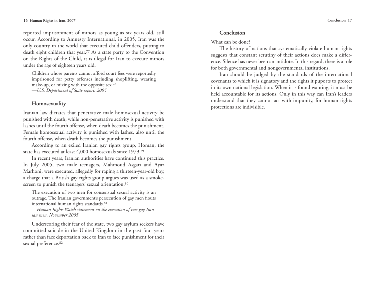reported imprisonment of minors as young as six years old, still occur. According to Amnesty International, in 2005, Iran was the only country in the world that executed child offenders, putting to death eight children that year.77 As a state party to the Convention on the Rights of the Child, it is illegal for Iran to execute minors under the age of eighteen years old.

Children whose parents cannot afford court fees were reportedly imprisoned for petty offenses including shoplifting, wearing make-up, or mixing with the opposite sex.78 —*U.S. Department of State report, 2005*

## **Homosexuality**

Iranian law dictates that penetrative male homosexual activity be punished with death, while non-penetrative activity is punished with lashes until the fourth offense, when death becomes the punishment. Female homosexual activity is punished with lashes, also until the fourth offense, when death becomes the punishment.

According to an exiled Iranian gay rights group, Homan, the state has executed at least 4,000 homosexuals since 1979.79

In recent years, Iranian authorities have continued this practice. In July 2005, two male teenagers, Mahmoud Asgari and Ayaz Marhoni, were executed, allegedly for raping a thirteen-year-old boy, a charge that a British gay rights group argues was used as a smokescreen to punish the teenagers' sexual orientation.<sup>80</sup>

The execution of two men for consensual sexual activity is an outrage. The Iranian government's persecution of gay men flouts international human rights standards.81

—*Human Rights Watch statement on the execution of two gay Iranian men, November 2005*

Underscoring their fear of the state, two gay asylum seekers have committed suicide in the United Kingdom in the past four years rather than face deportation back to Iran to face punishment for their sexual preference.82

## **Conclusion**

## What can be done?

The history of nations that systematically violate human rights suggests that constant scrutiny of their actions does make a difference. Silence has never been an antidote. In this regard, there is a role for both governmental and nongovernmental institutions.

Iran should be judged by the standards of the international covenants to which it is signatory and the rights it puports to protect in its own national legislation. When it is found wanting, it must be held accountable for its actions. Only in this way can Iran's leaders understand that they cannot act with impunity, for human rights protections are indivisible.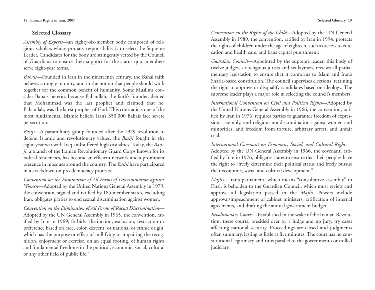## **Selected Glossary**

*Assembly of Experts*—an eighty-six-member body composed of religious scholars whose primary responsibility is to select the Supreme Leader. Candidates for the body are stringently vetted by the Council of Guardians to ensure their support for the status quo; members serve eight-year terms.

*Bahais*—Founded in Iran in the nineteenth century, the Bahai faith believes strongly in unity, and in the notion that people should work together for the common benefit of humanity. Some Muslims consider Bahais heretics because Bahaullah, the faith's founder, denied that Mohammad was the last prophet and claimed that he, Bahaullah, was the latest prophet of God. This contradicts one of the most fundamental Islamic beliefs. Iran's 350,000 Bahais face severe persecution.

*Basiji*—A paramilitary group founded after the 1979 revolution to defend Islamic and revolutionary values, the *Basiji* fought in the eight-year war with Iraq and suffered high casualties. Today, the *Basiji*, a branch of the Iranian Revolutionary Guard Corps known for its radical tendencies, has become an efficient network and a prominent presence in mosques around the country. The *Basiji* have participated in a crackdown on pro-democracy protests.

*Convention on the Elimination of All Forms of Discrimination against Women*—Adopted by the United Nations General Assembly in 1979, the convention, signed and ratified by 185 member states, excluding Iran, obligates parties to end sexual discrimination against women.

*Convention on the Elimination of All Forms of Racial Discrimination*— Adopted by the UN General Assembly in 1965, the convention, ratified by Iran in 1969, forbids "distinction, exclusion, restriction or preference based on race, color, descent, or national or ethnic origin, which has the purpose or effect of nullifying or impairing the recognition, enjoyment or exercise, on an equal footing, of human rights and fundamental freedoms in the political, economic, social, cultural or any other field of public life."

*Convention on the Rights of the Child*—Adopted by the UN General Assembly in 1989, the convention, ratified by Iran in 1994, protects the rights of children under the age of eighteen, such as access to education and health care, and bans capital punishment.

*Guardian Council*—Appointed by the supreme leader, this body of twelve judges, six religious jurists and six laymen, reviews all parliamentary legislation to ensure that it conforms to Islam and Iran's Sharia-based constitution. The council supervises elections, retaining the right to approve or disqualify candidates based on ideology. The supreme leader plays a major role in selecting the council's members.

*International Convention on Civil and Political Rights*—Adopted by the United Nations General Assembly in 1966, the convention, ratified by Iran in 1976, requires parties to guarantee freedom of expression, assembly, and religion; nondiscrimination against women and minorities; and freedom from torture, arbitrary arrest, and unfair trial.

*International Covenant on Economic, Social, and Cultural Rights*— Adopted by the UN General Assembly in 1966, the covenant, ratified by Iran in 1976, obligates states to ensure that their peoples have the right to "freely determine their political status and freely pursue their economic, social and cultural development."

*Majlis*—Iran's parliament, which means "consultative assembly" in Farsi, is beholden to the Guardian Council, which must review and approve all legislation passed in the *Majlis*. Powers include approval/impeachment of cabinet ministers, ratification of internal agreements, and drafting the annual government budget.

*Revolutionary Courts*—Established in the wake of the Iranian Revolution, these courts, presided over by a judge and no jury, try cases affecting national security. Proceedings are closed and judgments often summary, lasting as little as five minutes. The court has no constitutional legitimacy and runs parallel to the government-controlled judiciary.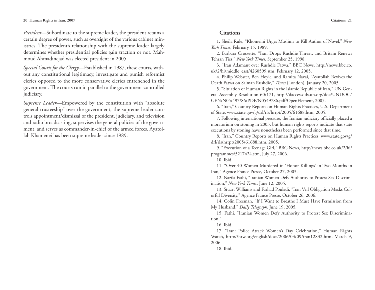*President*—Subordinate to the supreme leader, the president retains a certain degree of power, such as oversight of the various cabinet ministries. The president's relationship with the supreme leader largely determines whether presidential policies gain traction or not. Mahmoud Ahmadinejad was elected president in 2005.

*Special Courts for the Clergy*—Established in 1987, these courts, without any constitutional legitimacy, investigate and punish reformist clerics opposed to the more conservative clerics entrenched in the government. The courts run in parallel to the government-controlled judiciary.

*Supreme Leader*—Empowered by the constitution with "absolute general trusteeship" over the government, the supreme leader controls appointment/dismissal of the president, judiciary, and television and radio broadcasting, supervises the general policies of the government, and serves as commander-in-chief of the armed forces. Ayatollah Khamenei has been supreme leader since 1989.

#### **Citations**

1. Sheila Rule, "Khomeini Urges Muslims to Kill Author of Novel," *New York Times*, February 15, 1989.

2. Barbara Crossette, "Iran Drops Rushdie Threat, and Britain Renews Tehran Ties," *New York Times*, September 25, 1998.

3. "Iran Adamant over Rushdie Fatwa," BBC News, http://news.bbc.co. uk/2/hi/middle\_east/4260599.stm, February 12, 2005.

4. Philip Webster, Ben Hoyle, and Ramita Navai, "Ayatollah Revives the Death Fatwa on Salman Rushdie," *Times* (London), January 20, 2005.

5. "Situation of Human Rights in the Islamic Republic of Iran," UN General Assembly Resolution 60/171, http://daccessdds.un.org/doc/UNDOC/ GEN/N05/497/86/PDF/N0549786.pdf?OpenElement, 2005.

6. "Iran," Country Reports on Human Rights Practices, U.S. Department of State, www.state.gov/g/drl/rls/hrrpt/2005/61688.htm, 2005.

7. Following international pressure, the Iranian judiciary officially placed a moratorium on stoning in 2003, but human rights reports indicate that state executions by stoning have nonetheless been performed since that time.

8. "Iran," Country Reports on Human Rights Practices, www.state.gov/g/ drl/rls/hrrpt/2005/61688.htm, 2005.

9. "Execution of a Teenage Girl," BBC News, http://news.bbc.co.uk/2/hi/ programmes/5217424.stm, July 27, 2006.

10. Ibid.

11. "Over 40 Women Murdered in 'Honor Killings' in Two Months in Iran," Agence France Presse, October 27, 2003.

12. Nazila Fathi, "Iranian Women Defy Authority to Protest Sex Discrimination," *New York Times*, June 12, 2005.

13. Stuart Williams and Farhad Pouladi, "Iran Veil Obligation Masks Colorful Diversity," Agence France Presse, October 26, 2006.

14. Colin Freeman, "If I Want to Breathe I Must Have Permission from My Husband," *Daily Telegraph*, June 19, 2005.

15. Fathi, "Iranian Women Defy Authority to Protest Sex Discrimination."

16. Ibid.

17. "Iran: Police Attack Women's Day Celebration," Human Rights Watch, http://hrw.org/english/docs/2006/03/09/iran12832.htm, March 9, 2006.

18. Ibid.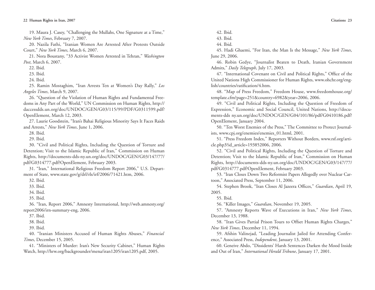19. Maura J. Casey, "Challenging the Mullahs, One Signature at a Time," *New York Times*, February 7, 2007.

20. Nazila Fathi, "Iranian Women Are Arrested After Protests Outside Court," *New York Times*, March 6, 2007.

21. Nora Boustany, "33 Activist Women Arrested in Tehran," *Washington Post*, March 6, 2007.

22. Ibid.

23. Ibid.

24. Ibid.

25. Ramin Mostaghim, "Iran Arrests Ten at Women's Day Rally," *Los Angeles Times*, March 9, 2007.

26. "Question of the Violation of Human Rights and Fundamental Freedoms in Any Part of the World," UN Commission on Human Rights, http:// daccessdds.un.org/doc/UNDOC/GEN/G03/115/99/PDF/G0311599.pdf? OpenElement, March 12, 2003.

27. Laurie Goodstein, "Iran's Bahai Religious Minority Says It Faces Raids and Arrests," *New York Times*, June 1, 2006.

28. Ibid.

29. Ibid.

30. "Civil and Political Rights, Including the Question of Torture and Detention; Visit to the Islamic Republic of Iran," Commission on Human Rights, http://documents-dds-ny.un.org/doc/UNDOC/GEN/G03/147/77/ pdf/G0314777.pdf?OpenElement, February 2003.

31. "Iran," International Religious Freedom Report 2006," U.S. Department of State, www.state.gov/g/drl/rls/irf/2006/71421.htm, 2006.

32. Ibid.

33. Ibid.

34. Ibid.

35. Ibid.

36. "Iran, Report 2006," Amnesty International, http://web.amnesty.org/ report2006/irn-summary-eng, 2006.

37. Ibid.

- 38. Ibid.
- 39. Ibid.

40. "Iranian Ministers Accused of Human Rights Abuses," *Financial Times*, December 15, 2005.

41. "Ministers of Murder: Iran's New Security Cabinet," Human Rights Watch, http://hrw.org/backgrounder/mena/iran1205/iran1205.pdf, 2005.

42. Ibid.

43. Ibid.

44. Ibid.

45. Hadi Ghaemi, "For Iran, the Man Is the Message," *New York Times*, June 29, 2006.

46. Robin Gedye, "Journalist Beaten to Death, Iranian Government Admits," *Daily Telegraph*, July 17, 2003.

47. "International Covenant on Civil and Political Rights," Office of the United Nations High Commissioner for Human Rights, www.ohchr.org/english/countries/ratification/4.htm.

48. "Map of Press Freedom," Freedom House, www.freedomhouse.org/ template.cfm?page=251&country=6982&year=2006, 2006.

49. "Civil and Political Rights, Including the Question of Freedom of Expression," Economic and Social Council, United Nations, http://documents-dds ny.un.org/doc/UNDOC/GEN/G04/101/86/pdf/G0410186.pdf? OpenElement, January 2004.

50. "Ten Worst Enemies of the Press," The Committee to Protect Journalists, www.cpj.org/enemies/enemies\_01.html, 2001.

51. "Press Freedom Index," Reporters Without Borders, www.rsf.org/article.php3?id\_article=193852006, 2006.

52. "Civil and Political Rights, Including the Question of Torture and Detention; Visit to the Islamic Republic of Iran," Commission on Human Rights, http://documents-dds-ny.un.org/doc/UNDOC/GEN/G03/147/77/ pdf/G0314777.pdf?OpenElement, February 2003.

53. "Iran Closes Down Two Reformist Papers Allegedly over Nuclear Cartoon," Associated Press, September 11, 2006.

54. Stephen Brook, "Iran Closes Al Jazeera Offices," *Guardian*, April 19, 2005.

55. Ibid.

56. "Killer Images," *Guardian*, November 19, 2005.

57. "Amnesty Reports Wave of Executions in Iran," *New York Times*, December 13, 1988.

58. "Iran Gives Partial Prison Tours to Offset Human Rights Charges," *New York Times*, December 11, 1994.

59. Afshin Valinejad, "Leading Journalist Jailed for Attending Conference," Associated Press, *Independent*, January 13, 2001.

60. Geneive Abdo, "Dissidents' Harsh Sentences Darken the Mood Inside and Out of Iran," *International Herald Tribune*, January 17, 2001.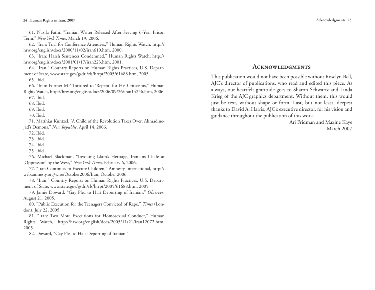**Acknowledgments 25**

61. Nazila Fathi, "Iranian Writer Released After Serving 6-Year Prison Term," *New York Times*, March 19, 2006.

62. "Iran: Trial for Conference Attendees," Human Rights Watch, http:// hrw.org/english/docs/2000/11/02/iran610.htm, 2000.

63. "Iran: Harsh Sentences Condemned," Human Rights Watch, http:// hrw.org/english/docs/2001/01/17/iran223.htm, 2001.

64. "Iran," Country Reports on Human Rights Practices, U.S. Department of State, www.state.gov/g/drl/rls/hrrpt/2005/61688.htm, 2005.

65. Ibid.

66. "Iran: Former MP Tortured to 'Repent' for His Criticisms," Human Rights Watch, http://hrw.org/english/docs/2006/09/26/iran14256.htm, 2006.

67. Ibid.

68. Ibid.

69. Ibid.

70. Ibid.

71. Matthias Küntzel, "A Child of the Revolution Takes Over: Ahmadinejad's Demons," *New Republic*, April 14, 2006.

72. Ibid.

73. Ibid.

74. Ibid.

75. Ibid.

76. Michael Slackman, "Invoking Islam's Heritage, Iranians Chafe at 'Oppression' by the West," *New York Times*, February 6, 2006.

77. "Iran Continues to Execute Children," Amnesty International, http:// web.amnesty.org/wire/October2006/Iran, October 2006.

78. "Iran," Country Reports on Human Rights Practices, U.S. Department of State, www.state.gov/g/drl/rls/hrrpt/2005/61688.htm, 2005.

79. Jamie Doward, "Gay Plea to Halt Deporting of Iranian," *Observer*, August 21, 2005.

80. "Public Execution for the Teenagers Convicted of Rape," *Times* (London), July 22, 2005.

81. "Iran: Two More Executions for Homosexual Conduct," Human Rights Watch, http://hrw.org/english/docs/2005/11/21/iran12072.htm, 2005.

82. Doward, "Gay Plea to Halt Deporting of Iranian."

## **Acknowledgments**

This publication would not have been possible without Roselyn Bell, AJC's director of publications, who read and edited this piece. As always, our heartfelt gratitude goes to Sharon Schwartz and Linda Krieg of the AJC graphics department. Without them, this would just be text, without shape or form. Last, but not least, deepest thanks to David A. Harris, AJC's executive director, for his vision and guidance throughout the publication of this work.

> Ari Fridman and Maxine Kaye March 2007